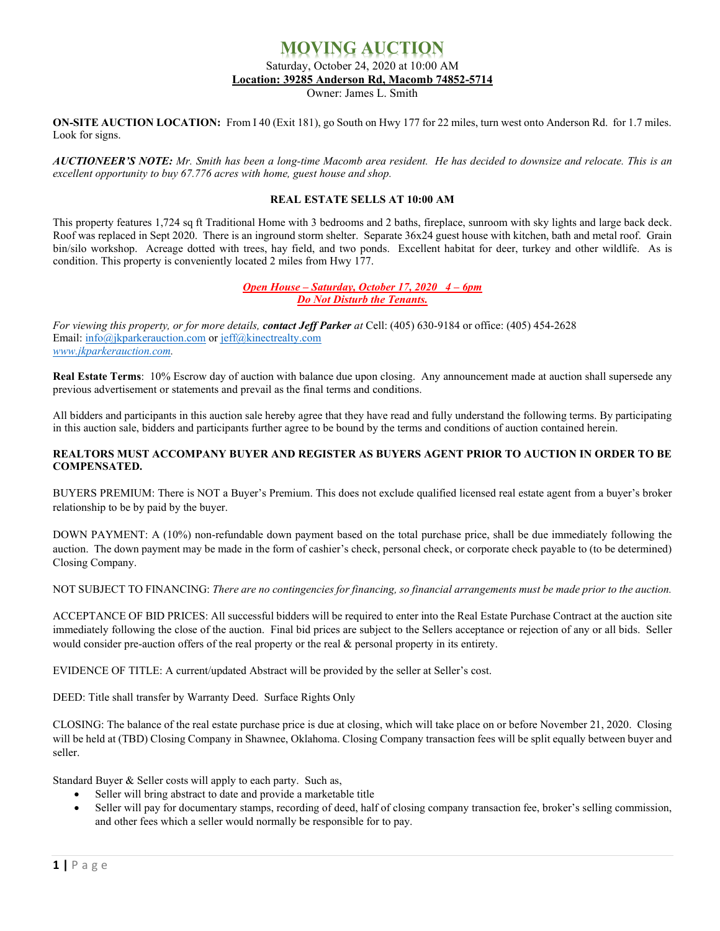## **MOVING AUCTION** Saturday, October 24, 2020 at 10:00 AM **Location: 39285 Anderson Rd, Macomb 74852-5714**

Owner: James L. Smith

**ON-SITE AUCTION LOCATION:** From I 40 (Exit 181), go South on Hwy 177 for 22 miles, turn west onto Anderson Rd. for 1.7 miles. Look for signs.

AUCTIONEER'S NOTE: Mr. Smith has been a long-time Macomb area resident. He has decided to downsize and relocate. This is an *excellent opportunity to buy 67.776 acres with home, guest house and shop.*

## **REAL ESTATE SELLS AT 10:00 AM**

This property features 1,724 sq ft Traditional Home with 3 bedrooms and 2 baths, fireplace, sunroom with sky lights and large back deck. Roof was replaced in Sept 2020. There is an inground storm shelter. Separate 36x24 guest house with kitchen, bath and metal roof. Grain bin/silo workshop. Acreage dotted with trees, hay field, and two ponds. Excellent habitat for deer, turkey and other wildlife. As is condition. This property is conveniently located 2 miles from Hwy 177.

## *Open House – Saturday, October 17, 2020 4 – 6pm Do Not Disturb the Tenants.*

*For viewing this property, or for more details, contact Jeff Parker at* Cell: (405) 630-9184 or office: (405) 454-2628 Email[: info@jkparkerauction.com](mailto:info@jkparkerauction.com) or [jeff@kinectrealty.com](mailto:jeff@kinectrealty.com) *[www.jkparkerauction.com.](http://www.jkparkerauction.com/)*

**Real Estate Terms**: 10% Escrow day of auction with balance due upon closing. Any announcement made at auction shall supersede any previous advertisement or statements and prevail as the final terms and conditions.

All bidders and participants in this auction sale hereby agree that they have read and fully understand the following terms. By participating in this auction sale, bidders and participants further agree to be bound by the terms and conditions of auction contained herein.

## **REALTORS MUST ACCOMPANY BUYER AND REGISTER AS BUYERS AGENT PRIOR TO AUCTION IN ORDER TO BE COMPENSATED.**

BUYERS PREMIUM: There is NOT a Buyer's Premium. This does not exclude qualified licensed real estate agent from a buyer's broker relationship to be by paid by the buyer.

DOWN PAYMENT: A (10%) non-refundable down payment based on the total purchase price, shall be due immediately following the auction. The down payment may be made in the form of cashier's check, personal check, or corporate check payable to (to be determined) Closing Company.

NOT SUBJECT TO FINANCING: *There are no contingencies for financing, so financial arrangements must be made prior to the auction.*

ACCEPTANCE OF BID PRICES: All successful bidders will be required to enter into the Real Estate Purchase Contract at the auction site immediately following the close of the auction. Final bid prices are subject to the Sellers acceptance or rejection of any or all bids. Seller would consider pre-auction offers of the real property or the real  $\&$  personal property in its entirety.

EVIDENCE OF TITLE: A current/updated Abstract will be provided by the seller at Seller's cost.

DEED: Title shall transfer by Warranty Deed. Surface Rights Only

CLOSING: The balance of the real estate purchase price is due at closing, which will take place on or before November 21, 2020. Closing will be held at (TBD) Closing Company in Shawnee, Oklahoma. Closing Company transaction fees will be split equally between buyer and seller.

Standard Buyer & Seller costs will apply to each party. Such as,

- Seller will bring abstract to date and provide a marketable title
- Seller will pay for documentary stamps, recording of deed, half of closing company transaction fee, broker's selling commission, and other fees which a seller would normally be responsible for to pay.